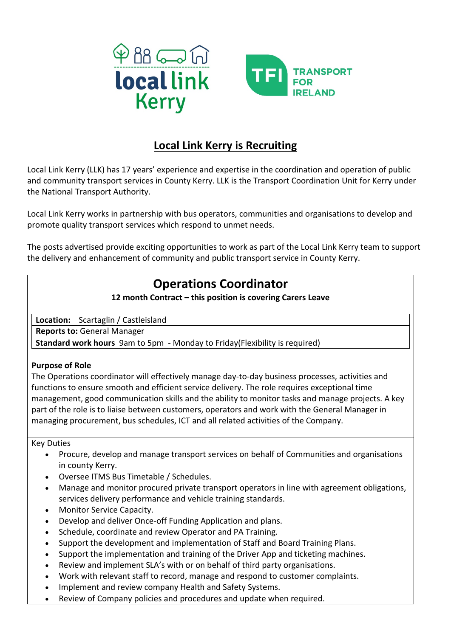



## **Local Link Kerry is Recruiting**

Local Link Kerry (LLK) has 17 years' experience and expertise in the coordination and operation of public and community transport services in County Kerry. LLK is the Transport Coordination Unit for Kerry under the National Transport Authority.

Local Link Kerry works in partnership with bus operators, communities and organisations to develop and promote quality transport services which respond to unmet needs.

The posts advertised provide exciting opportunities to work as part of the Local Link Kerry team to support the delivery and enhancement of community and public transport service in County Kerry.

# **Operations Coordinator**

### **12 month Contract – this position is covering Carers Leave**

**Location:** Scartaglin / Castleisland

**Reports to:** General Manager

**Standard work hours** 9am to 5pm - Monday to Friday(Flexibility is required)

#### **Purpose of Role**

The Operations coordinator will effectively manage day-to-day business processes, activities and functions to ensure smooth and efficient service delivery. The role requires exceptional time management, good communication skills and the ability to monitor tasks and manage projects. A key part of the role is to liaise between customers, operators and work with the General Manager in managing procurement, bus schedules, ICT and all related activities of the Company.

Key Duties

- Procure, develop and manage transport services on behalf of Communities and organisations in county Kerry.
- Oversee ITMS Bus Timetable / Schedules.
- Manage and monitor procured private transport operators in line with agreement obligations, services delivery performance and vehicle training standards.
- Monitor Service Capacity.
- Develop and deliver Once-off Funding Application and plans.
- Schedule, coordinate and review Operator and PA Training.
- Support the development and implementation of Staff and Board Training Plans.
- Support the implementation and training of the Driver App and ticketing machines.
- Review and implement SLA's with or on behalf of third party organisations.
- Work with relevant staff to record, manage and respond to customer complaints.
- Implement and review company Health and Safety Systems.
- Review of Company policies and procedures and update when required.